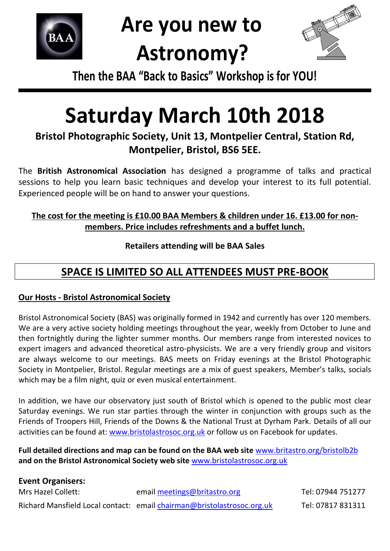

## **Are you new to Astronomy?**



**Then the BAA "Back to Basics" Workshop is for YOU!**

# **Saturday March 10th 2018**

**Bristol Photographic Society, Unit 13, Montpelier Central, Station Rd, Montpelier, Bristol, BS6 5EE.**

The **British Astronomical Association** has designed a programme of talks and practical sessions to help you learn basic techniques and develop your interest to its full potential. Experienced people will be on hand to answer your questions.

#### **The cost for the meeting is £10.00 BAA Members & children under 16. £13.00 for nonmembers. Price includes refreshments and a buffet lunch.**

**Retailers attending will be BAA Sales**

## **SPACE IS LIMITED SO ALL ATTENDEES MUST PRE-BOOK**

#### **Our Hosts - Bristol Astronomical Society**

Bristol Astronomical Society (BAS) was originally formed in 1942 and currently has over 120 members. We are a very active society holding meetings throughout the year, weekly from October to June and then fortnightly during the lighter summer months. Our members range from interested novices to expert imagers and advanced theoretical astro-physicists. We are a very friendly group and visitors are always welcome to our meetings. BAS meets on Friday evenings at the Bristol Photographic Society in Montpelier, Bristol. Regular meetings are a mix of guest speakers, Member's talks, socials which may be a film night, quiz or even musical entertainment.

In addition, we have our observatory just south of Bristol which is opened to the public most clear Saturday evenings. We run star parties through the winter in conjunction with groups such as the Friends of Troopers Hill, Friends of the Downs & the National Trust at Dyrham Park. Details of all our activities can be found at: [www.bristolastrosoc.org.uk](http://www.bristolastrosoc.org.uk/) or follow us on Facebook for updates.

**Full detailed directions and map can be found on the BAA web site** [www.britastro.org/](http://www.britastro.org/)bristolb2b **and on the Bristol Astronomical Society web site** [www.bristolastrosoc.org.uk](http://www.bristolastrosoc.org.uk/)

| <b>Event Organisers:</b> |                                                                        |                   |  |  |  |
|--------------------------|------------------------------------------------------------------------|-------------------|--|--|--|
| Mrs Hazel Collett:       | email meetings@britastro.org                                           | Tel: 07944 751277 |  |  |  |
|                          | Richard Mansfield Local contact: email chairman@bristolastrosoc.org.uk | Tel: 07817 831311 |  |  |  |